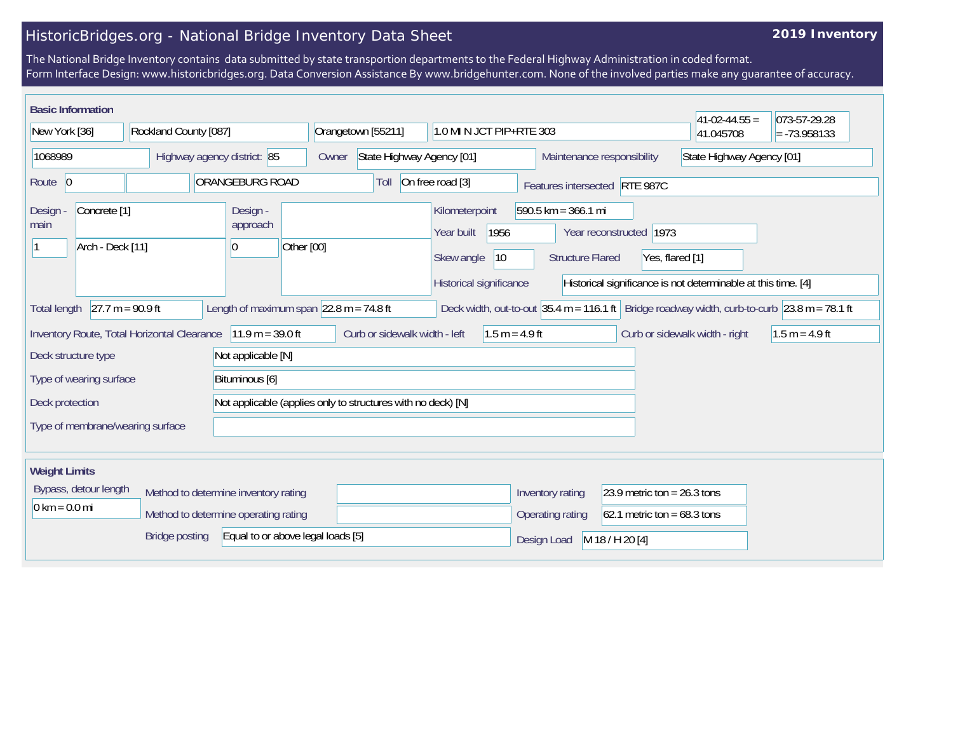## HistoricBridges.org - National Bridge Inventory Data Sheet

## **2019 Inventory**

The National Bridge Inventory contains data submitted by state transportion departments to the Federal Highway Administration in coded format. Form Interface Design: www.historicbridges.org. Data Conversion Assistance By www.bridgehunter.com. None of the involved parties make any guarantee of accuracy.

| <b>Basic Information</b>                                                                                                                                                  |                                                                                                                                                                                                                          |                             |                                                      |       |                           |                                            |                               |                                                  |                                            | $41-02-44.55 =$                                               | 073-57-29.28              |  |
|---------------------------------------------------------------------------------------------------------------------------------------------------------------------------|--------------------------------------------------------------------------------------------------------------------------------------------------------------------------------------------------------------------------|-----------------------------|------------------------------------------------------|-------|---------------------------|--------------------------------------------|-------------------------------|--------------------------------------------------|--------------------------------------------|---------------------------------------------------------------|---------------------------|--|
| New York [36]                                                                                                                                                             |                                                                                                                                                                                                                          | Rockland County [087]       |                                                      |       | Orangetown [55211]        |                                            | 1.0 MI N JCT PIP+RTE 303      |                                                  |                                            | 41.045708                                                     | $= -73.958133$            |  |
| 1068989                                                                                                                                                                   |                                                                                                                                                                                                                          | Highway agency district: 85 |                                                      | Owner | State Highway Agency [01] |                                            |                               | Maintenance responsibility                       |                                            |                                                               | State Highway Agency [01] |  |
| Route 0                                                                                                                                                                   |                                                                                                                                                                                                                          |                             | ORANGEBURG ROAD                                      |       | Toll                      | On free road [3]                           |                               |                                                  | Features intersected RTE 987C              |                                                               |                           |  |
| Design<br>main                                                                                                                                                            | Concrete <sup>[1]</sup><br>Arch - Deck [11]                                                                                                                                                                              |                             | Design -<br>approach<br>Other [00]<br>$\overline{0}$ |       |                           | Kilometerpoint<br>Year built<br>Skew angle | 1956<br>$ 10\rangle$          | $590.5$ km = 366.1 mi<br><b>Structure Flared</b> | Year reconstructed 1973<br>Yes, flared [1] |                                                               |                           |  |
|                                                                                                                                                                           |                                                                                                                                                                                                                          |                             |                                                      |       |                           | Historical significance                    |                               |                                                  |                                            | Historical significance is not determinable at this time. [4] |                           |  |
| <b>Total length</b>                                                                                                                                                       | $27.7 m = 90.9 ft$<br>Length of maximum span $ 22.8 \text{ m} = 74.8 \text{ ft}$<br>Deck width, out-to-out $ 35.4 \text{ m} = 116.1 \text{ ft} $ Bridge roadway width, curb-to-curb $ 23.8 \text{ m} = 78.1 \text{ ft} $ |                             |                                                      |       |                           |                                            |                               |                                                  |                                            |                                                               |                           |  |
| Inventory Route, Total Horizontal Clearance   11.9 m = 39.0 ft<br>Curb or sidewalk width - left<br>$1.5 m = 4.9 ft$<br>Curb or sidewalk width - right<br>$1.5 m = 4.9 ft$ |                                                                                                                                                                                                                          |                             |                                                      |       |                           |                                            |                               |                                                  |                                            |                                                               |                           |  |
| Not applicable [N]<br>Deck structure type                                                                                                                                 |                                                                                                                                                                                                                          |                             |                                                      |       |                           |                                            |                               |                                                  |                                            |                                                               |                           |  |
| Bituminous [6]<br>Type of wearing surface                                                                                                                                 |                                                                                                                                                                                                                          |                             |                                                      |       |                           |                                            |                               |                                                  |                                            |                                                               |                           |  |
| Not applicable (applies only to structures with no deck) [N]<br>Deck protection                                                                                           |                                                                                                                                                                                                                          |                             |                                                      |       |                           |                                            |                               |                                                  |                                            |                                                               |                           |  |
| Type of membrane/wearing surface                                                                                                                                          |                                                                                                                                                                                                                          |                             |                                                      |       |                           |                                            |                               |                                                  |                                            |                                                               |                           |  |
| <b>Weight Limits</b>                                                                                                                                                      |                                                                                                                                                                                                                          |                             |                                                      |       |                           |                                            |                               |                                                  |                                            |                                                               |                           |  |
| Bypass, detour length<br>Method to determine inventory rating                                                                                                             |                                                                                                                                                                                                                          |                             |                                                      |       |                           | Inventory rating                           | 23.9 metric ton = $26.3$ tons |                                                  |                                            |                                                               |                           |  |
| $0 \text{ km} = 0.0 \text{ mi}$<br>Method to determine operating rating                                                                                                   |                                                                                                                                                                                                                          |                             |                                                      |       |                           |                                            | Operating rating              | $62.1$ metric ton = 68.3 tons                    |                                            |                                                               |                           |  |
| Equal to or above legal loads [5]<br><b>Bridge posting</b>                                                                                                                |                                                                                                                                                                                                                          |                             |                                                      |       |                           |                                            | Design Load                   | M 18 / H 20 [4]                                  |                                            |                                                               |                           |  |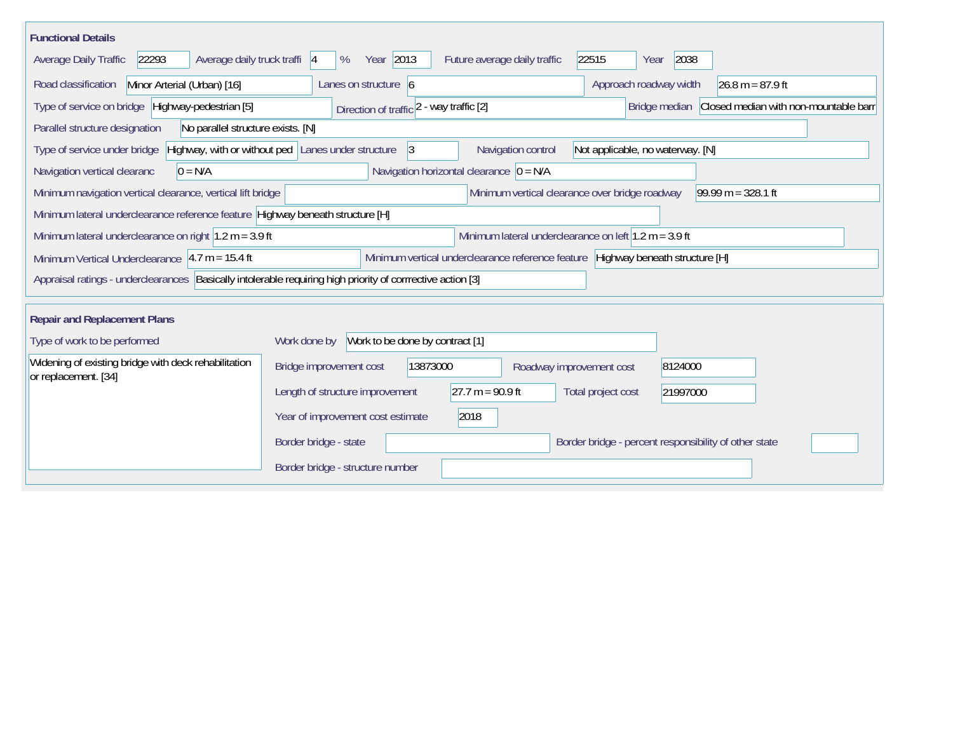| <b>Functional Details</b>                                                                                   |                                                          |                                                                                 |                                                       |                                                     |  |  |  |
|-------------------------------------------------------------------------------------------------------------|----------------------------------------------------------|---------------------------------------------------------------------------------|-------------------------------------------------------|-----------------------------------------------------|--|--|--|
| Average daily truck traffi  4<br>22293<br><b>Average Daily Traffic</b>                                      | Year 2013<br>%                                           | Future average daily traffic                                                    | 2038<br>22515<br>Year                                 |                                                     |  |  |  |
| Minor Arterial (Urban) [16]<br>Road classification                                                          | Lanes on structure 6                                     |                                                                                 | Approach roadway width                                | $26.8 m = 87.9 ft$                                  |  |  |  |
| Type of service on bridge Highway-pedestrian [5]                                                            | Direction of traffic 2 - way traffic [2]                 |                                                                                 |                                                       | Bridge median Closed median with non-mountable barr |  |  |  |
| Parallel structure designation<br>No parallel structure exists. [N]                                         |                                                          |                                                                                 |                                                       |                                                     |  |  |  |
| Type of service under bridge                                                                                | Highway, with or without ped Lanes under structure<br> 3 | Navigation control                                                              | Not applicable, no waterway. [N]                      |                                                     |  |  |  |
| Navigation horizontal clearance $ 0 = N/A $<br>$0 = N/A$<br>Navigation vertical clearanc                    |                                                          |                                                                                 |                                                       |                                                     |  |  |  |
| Minimum navigation vertical clearance, vertical lift bridge                                                 |                                                          | Minimum vertical clearance over bridge roadway                                  |                                                       | $99.99 m = 328.1 ft$                                |  |  |  |
| Minimum lateral underclearance reference feature Highway beneath structure [H]                              |                                                          |                                                                                 |                                                       |                                                     |  |  |  |
| Minimum lateral underclearance on right $1.2$ m = 3.9 ft                                                    |                                                          | Minimum lateral underclearance on left $1.2$ m = 3.9 ft                         |                                                       |                                                     |  |  |  |
| Minimum Vertical Underclearance $4.7 m = 15.4 ft$                                                           |                                                          | Minimum vertical underclearance reference feature Highway beneath structure [H] |                                                       |                                                     |  |  |  |
| Appraisal ratings - underclearances Basically intolerable requiring high priority of corrrective action [3] |                                                          |                                                                                 |                                                       |                                                     |  |  |  |
| <b>Repair and Replacement Plans</b>                                                                         |                                                          |                                                                                 |                                                       |                                                     |  |  |  |
| Type of work to be performed                                                                                | Work to be done by contract [1]<br>Work done by          |                                                                                 |                                                       |                                                     |  |  |  |
| Widening of existing bridge with deck rehabilitation<br>or replacement. [34]                                | 13873000<br>Bridge improvement cost                      | Roadway improvement cost                                                        | 8124000                                               |                                                     |  |  |  |
|                                                                                                             | Length of structure improvement                          | $27.7 m = 90.9 ft$                                                              | Total project cost<br>21997000                        |                                                     |  |  |  |
|                                                                                                             | Year of improvement cost estimate                        | 2018                                                                            |                                                       |                                                     |  |  |  |
|                                                                                                             | Border bridge - state                                    |                                                                                 | Border bridge - percent responsibility of other state |                                                     |  |  |  |
|                                                                                                             | Border bridge - structure number                         |                                                                                 |                                                       |                                                     |  |  |  |